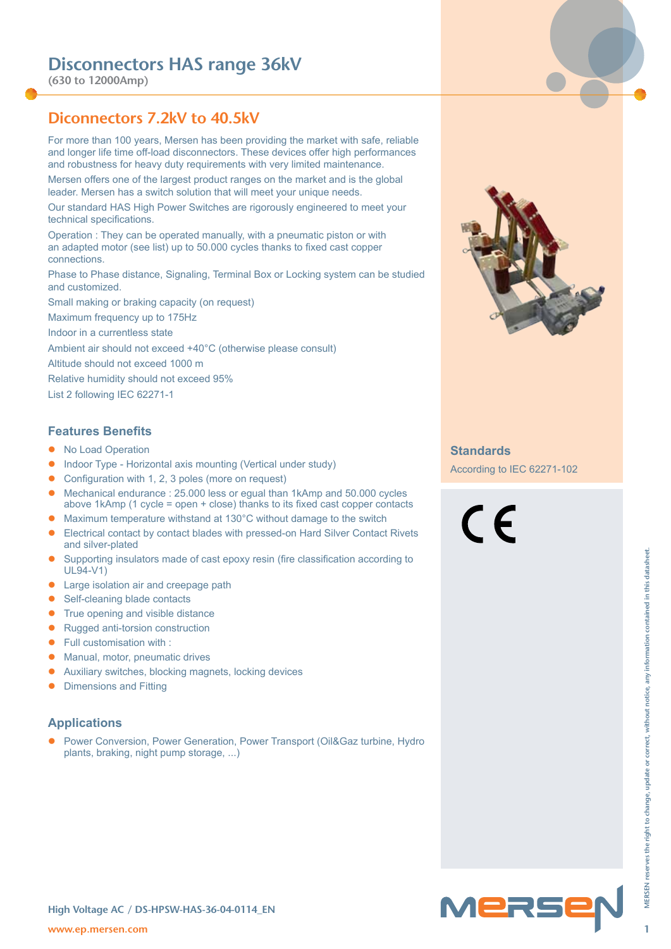**(630 to 12000Amp)**

### **Diconnectors 7.2kV to 40.5kV**

For more than 100 years, Mersen has been providing the market with safe, reliable and longer life time off-load disconnectors. These devices offer high performances and robustness for heavy duty requirements with very limited maintenance.

Mersen offers one of the largest product ranges on the market and is the global leader. Mersen has a switch solution that will meet your unique needs.

Our standard HAS High Power Switches are rigorously engineered to meet your technical specifications.

Operation : They can be operated manually, with a pneumatic piston or with an adapted motor (see list) up to 50.000 cycles thanks to fixed cast copper connections.

Phase to Phase distance, Signaling, Terminal Box or Locking system can be studied and customized.

Small making or braking capacity (on request)

Maximum frequency up to 175Hz

Indoor in a currentless state

Ambient air should not exceed +40°C (otherwise please consult)

Altitude should not exceed 1000 m

Relative humidity should not exceed 95%

List 2 following IEC 62271-1

#### **Features Benefits**

- No Load Operation
- Indoor Type Horizontal axis mounting (Vertical under study)
- Configuration with 1, 2, 3 poles (more on request)
- Mechanical endurance : 25.000 less or equal than 1kAmp and 50.000 cycles above 1kAmp (1 cycle = open + close) thanks to its fixed cast copper contacts
- Maximum temperature withstand at 130°C without damage to the switch
- Electrical contact by contact blades with pressed-on Hard Silver Contact Rivets and silver-plated
- Supporting insulators made of cast epoxy resin (fire classification according to UL94-V1)
- Large isolation air and creepage path
- Self-cleaning blade contacts
- True opening and visible distance
- $\bullet$  Rugged anti-torsion construction
- $\bullet$  Full customisation with :
- Manual, motor, pneumatic drives
- Auxiliary switches, blocking magnets, locking devices
- Dimensions and Fitting

#### **Applications**

**w** Supporting insulators made of cast epoxy resin (fire classification according to<br> **We star-loaning blace contacts**<br> **1** MERSEN reserves the right of the change of the right of the right of the right of the right of the Power Conversion, Power Generation, Power Transport (Oil&Gaz turbine, Hydro plants, braking, night pump storage, ...)



#### **Standards**

According to IEC 62271-102

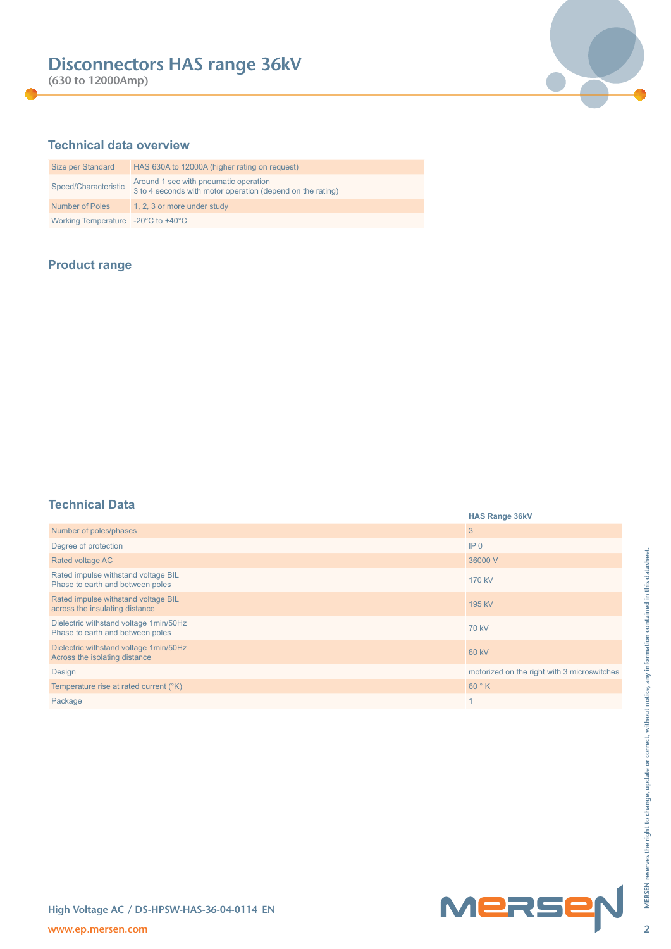**(630 to 12000Amp)**



### **Technical data overview**

| Size per Standard                                      | HAS 630A to 12000A (higher rating on request)                                                       |
|--------------------------------------------------------|-----------------------------------------------------------------------------------------------------|
| Speed/Characteristic                                   | Around 1 sec with pneumatic operation<br>3 to 4 seconds with motor operation (depend on the rating) |
| <b>Number of Poles</b>                                 | 1, 2, 3 or more under study                                                                         |
| Working Temperature $-20^{\circ}$ C to $+40^{\circ}$ C |                                                                                                     |

### **Product range**

### **Technical Data**

| .                                                                          | <b>HAS Range 36kV</b>                       |
|----------------------------------------------------------------------------|---------------------------------------------|
| Number of poles/phases                                                     | 3                                           |
| Degree of protection                                                       | IP <sub>0</sub>                             |
| Rated voltage AC                                                           | 36000 V                                     |
| Rated impulse withstand voltage BIL<br>Phase to earth and between poles    | 170 kV                                      |
| Rated impulse withstand voltage BIL<br>across the insulating distance      | 195 kV                                      |
| Dielectric withstand voltage 1min/50Hz<br>Phase to earth and between poles | <b>70 kV</b>                                |
| Dielectric withstand voltage 1min/50Hz<br>Across the isolating distance    | <b>80 kV</b>                                |
| Design                                                                     | motorized on the right with 3 microswitches |
| Temperature rise at rated current (°K)                                     | 60°K                                        |
| Package                                                                    | $\mathbf{1}$                                |
|                                                                            |                                             |
| High Voltage AC / DS-HPSW-HAS-36-04-0114_EN<br>www.ep.mersen.com           | Mersep                                      |

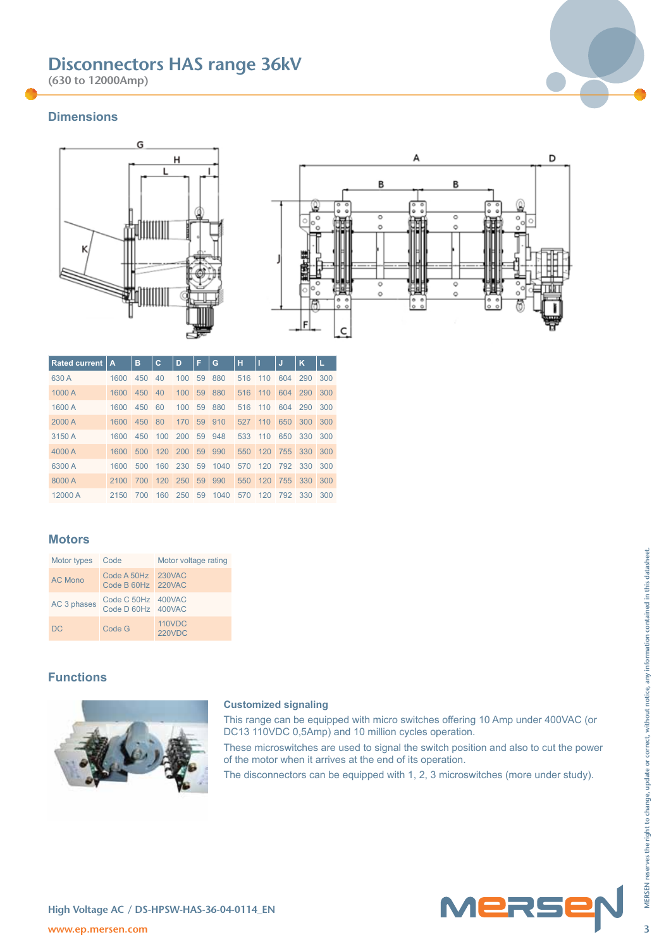**(630 to 12000Amp)**



#### **Dimensions**





| <b>Rated current</b> | A    | в   | С   | D   | F  | G      | н   |     | IJ          | κ       | L   |
|----------------------|------|-----|-----|-----|----|--------|-----|-----|-------------|---------|-----|
| 630 A                | 1600 | 450 | 40  | 100 | 59 | 880    | 516 | 110 | 604         | 290     | 300 |
| 1000 A               | 1600 | 450 | 40  | 100 | 59 | 880    | 516 | 110 | 604         | 290     | 300 |
| 1600 A               | 1600 | 450 | 60  | 100 | 59 | 880    | 516 | 110 | 604         | 290     | 300 |
| 2000 A               | 1600 | 450 | 80  | 170 |    | 59 910 | 527 | 110 | 650         | 300     | 300 |
| 3150 A               | 1600 | 450 | 100 | 200 | 59 | 948    | 533 | 110 | 650         | 330     | 300 |
| 4000 A               | 1600 | 500 | 120 | 200 |    | 59 990 | 550 | 120 | 755         | 330     | 300 |
| 6300 A               | 1600 | 500 | 160 | 230 | 59 | 1040   | 570 |     | 120 792     | 330     | 300 |
| 8000 A               | 2100 | 700 | 120 | 250 | 59 | 990    |     |     | 550 120 755 | 330 300 |     |
| 12000 A              | 2150 | 700 | 160 | 250 | 59 | 1040   | 570 | 120 | 792         | 330     | 300 |

### **Motors**

| Motor types Code |                                          | Motor voltage rating           |
|------------------|------------------------------------------|--------------------------------|
| <b>AC Mono</b>   | Code A 50Hz 230VAC<br>Code B 60Hz 220VAC |                                |
| AC 3 phases      | Code C 50Hz 400VAC<br>Code D 60Hz 400VAC |                                |
| <b>DC</b>        | Code G                                   | <b>110VDC</b><br><b>220VDC</b> |

### **Functions**



#### **Customized signaling**

This range can be equipped with micro switches offering 10 Amp under 400VAC (or DC13 110VDC 0,5Amp) and 10 million cycles operation. These microswitches are used to signal the switch position and also to cut the power

of the motor when it arrives at the end of its operation.

The disconnectors can be equipped with 1, 2, 3 microswitches (more under study).

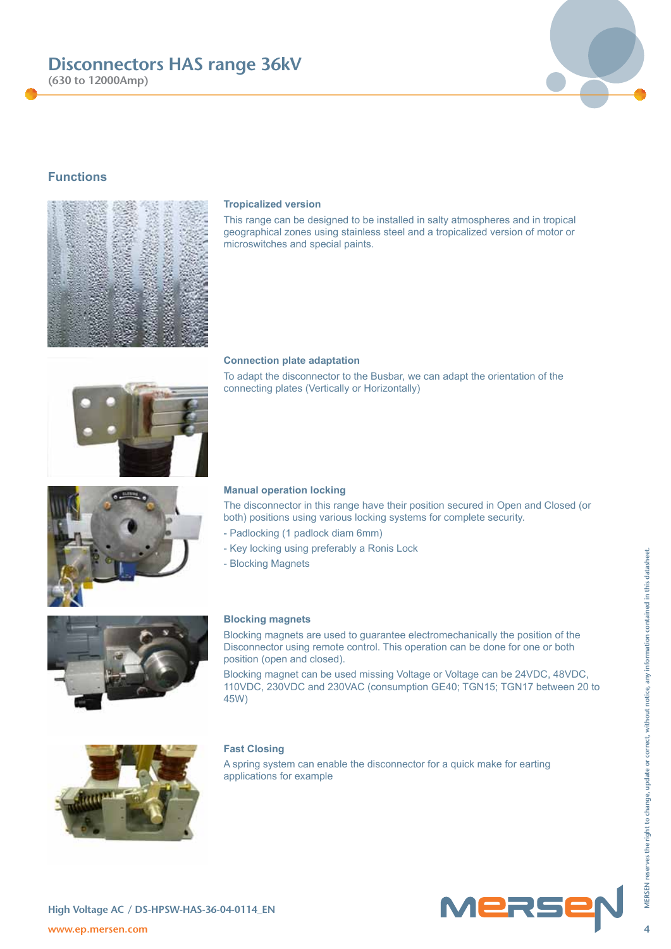**(630 to 12000Amp)**

### **Functions**

#### **Tropicalized version**

This range can be designed to be installed in salty atmospheres and in tropical geographical zones using stainless steel and a tropicalized version of motor or microswitches and special paints.

#### **Connection plate adaptation**

To adapt the disconnector to the Busbar, we can adapt the orientation of the connecting plates (Vertically or Horizontally)

#### **Manual operation locking**

The disconnector in this range have their position secured in Open and Closed (or both) positions using various locking systems for complete security.

- Padlocking (1 padlock diam 6mm)
- Key locking using preferably a Ronis Lock
- Blocking Magnets

#### **Blocking magnets**

Blocking magnets are used to guarantee electromechanically the position of the Disconnector using remote control. This operation can be done for one or both position (open and closed).

Blocking magnet can be used missing Voltage or Voltage can be 24VDC, 48VDC, 110VDC, 230VDC and 230VAC (consumption GE40; TGN15; TGN17 between 20 to 45W)

#### **Fast Closing**

A spring system can enable the disconnector for a quick make for earting applications for example









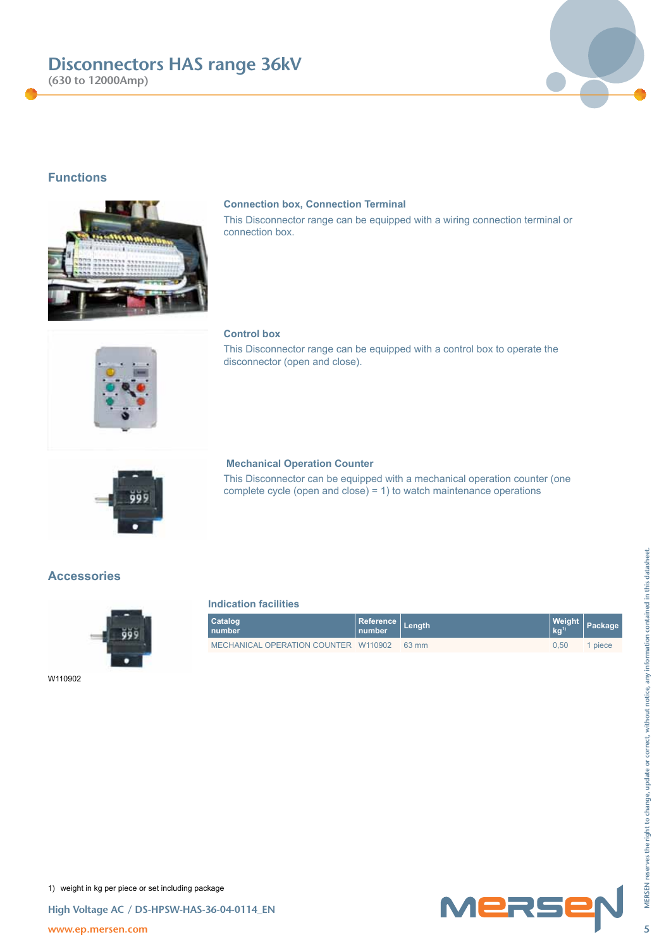**(630 to 12000Amp)**

### **Functions**

### **Connection box, Connection Terminal**

 **Mechanical Operation Counter**

This Disconnector range can be equipped with a wiring connection terminal or connection box.

#### **Control box**

This Disconnector range can be equipped with a control box to operate the disconnector (open and close).

This Disconnector can be equipped with a mechanical operation counter (one complete cycle (open and close) = 1) to watch maintenance operations

### **Indication facilities**

|         | <b>Indication facilities</b>         |                            |        |                     |         |
|---------|--------------------------------------|----------------------------|--------|---------------------|---------|
| 999     | Catalog<br>number                    | <b>Reference</b><br>number | Length | Weight<br>$kg^{ij}$ | Package |
|         | MECHANICAL OPERATION COUNTER W110902 |                            | 63 mm  | 0,50                | 1 piece |
| W110902 |                                      |                            |        |                     |         |
|         |                                      |                            |        |                     |         |
|         |                                      |                            |        |                     |         |
|         |                                      |                            |        |                     |         |
|         |                                      |                            |        |                     |         |
|         |                                      |                            |        |                     |         |
|         |                                      |                            |        |                     |         |
|         |                                      |                            |        |                     |         |

W110902













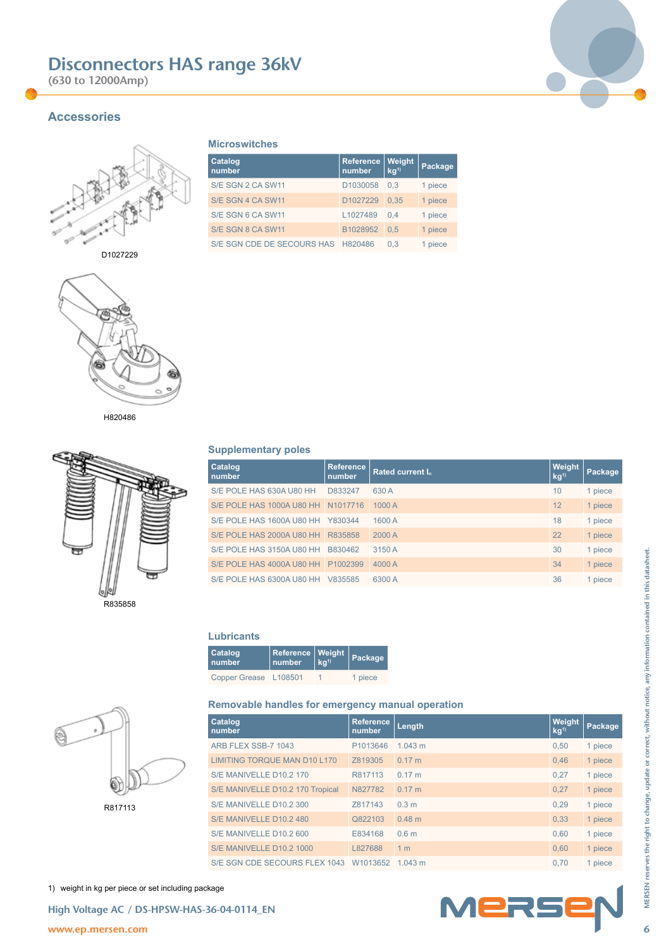**(630 to 12000Amp)**



### **Accessories**



D1027229



H820486



**Supplementary poles**

**Microswitches**

**Reference number**

S/E SGN 2 CA SW11 D1030058 0,3 1 piece S/E SGN 4 CA SW11 D1027229 0,35 1 piece S/E SGN 6 CA SW11 L1027489 0,4 1 piece S/E SGN 8 CA SW11 B1028952 0,5 1 piece S/E SGN CDE DE SECOURS HAS H820486 0,3 1 piece

**Weight kg1) Package**

**Catalog number**

| Catalog<br>number         | <b>Reference</b><br>number | <b>Rated current I.</b> | <b>Weight</b><br>kg <sup>1</sup> | Package |
|---------------------------|----------------------------|-------------------------|----------------------------------|---------|
| S/E POLE HAS 630A U80 HH  | D833247                    | 630 A                   | 10                               | 1 piece |
| S/E POLE HAS 1000A U80 HH | N1017716                   | 1000 A                  | 12                               | 1 piece |
| S/E POLE HAS 1600A U80 HH | Y830344                    | 1600 A                  | 18                               | 1 piece |
| S/E POLE HAS 2000A U80 HH | R835858                    | 2000 A                  | 22                               | 1 piece |
| S/E POLE HAS 3150A U80 HH | B830462                    | 3150 A                  | 30                               | 1 piece |
| S/E POLE HAS 4000A U80 HH | P1002399                   | 4000 A                  | 34                               | 1 piece |
| S/E POLE HAS 6300A U80 HH | V835585                    | 6300 A                  | 36                               | 1 piece |

#### **Lubricants**

| <b>Catalog</b><br>number | Reference Weight<br>  number kg <sup>1)</sup> | Package |
|--------------------------|-----------------------------------------------|---------|
| Copper Grease L108501    |                                               | 1 piece |

#### **Removable handles for emergency manual operation**

| ₩                                                                | S/E POLE HAS 3150A U80 HH B830462                                     | 3150 A              |                  | 30                   | 1 piece |
|------------------------------------------------------------------|-----------------------------------------------------------------------|---------------------|------------------|----------------------|---------|
|                                                                  |                                                                       | 4000 A              |                  | 34                   | 1 piece |
|                                                                  | S/E POLE HAS 6300A U80 HH V835585                                     | 6300 A              |                  | 36                   | 1 piece |
|                                                                  |                                                                       |                     |                  |                      |         |
| R835858                                                          |                                                                       |                     |                  |                      |         |
|                                                                  | <b>Lubricants</b>                                                     |                     |                  |                      |         |
|                                                                  | Catalog<br>Reference<br>Weight<br>kg <sup>1</sup><br>number<br>number | Package             |                  |                      |         |
|                                                                  | Copper Grease L108501                                                 | 1 piece             |                  |                      |         |
|                                                                  |                                                                       |                     |                  |                      |         |
|                                                                  | Removable handles for emergency manual operation                      |                     |                  |                      |         |
|                                                                  | Catalog<br>number                                                     | Reference<br>number | Length           | Weight<br>$kq^{(1)}$ | Package |
|                                                                  | ARB FLEX SSB-7 1043                                                   | P1013646            | 1.043 m          | 0,50                 | 1 piece |
|                                                                  | <b>LIMITING TORQUE MAN D10 L170</b>                                   | Z819305             | 0.17 m           | 0,46                 | 1 piece |
|                                                                  | S/E MANIVELLE D10.2 170                                               | R817113             | 0.17 m           | 0,27                 | 1 piece |
|                                                                  | S/E MANIVELLE D10.2 170 Tropical                                      | N827782             | 0.17 m           | 0,27                 | 1 piece |
| R817113                                                          | S/E MANIVELLE D10.2 300                                               | Z817143             | 0.3 <sub>m</sub> | 0,29                 | 1 piece |
|                                                                  | S/E MANIVELLE D10.2 480                                               | Q822103             | 0.48 m           | 0,33                 | 1 piece |
|                                                                  | S/E MANIVELLE D10.2 600                                               | E834168             | 0.6 <sub>m</sub> | 0,60                 | 1 piece |
|                                                                  | S/E MANIVELLE D10.2 1000                                              | L827688             | 1 <sub>m</sub>   | 0,60                 | 1 piece |
|                                                                  | S/E SGN CDE SECOURS FLEX 1043 W1013652 1.043 m                        |                     |                  | 0,70                 | 1 piece |
|                                                                  |                                                                       |                     |                  |                      |         |
|                                                                  |                                                                       |                     |                  |                      |         |
| 1) weight in kg per piece or set including package               |                                                                       |                     |                  |                      |         |
|                                                                  |                                                                       |                     |                  |                      |         |
| High Voltage AC / DS-HPSW-HAS-36-04-0114_EN<br>www.ep.mersen.com |                                                                       |                     | MERSEN           |                      |         |